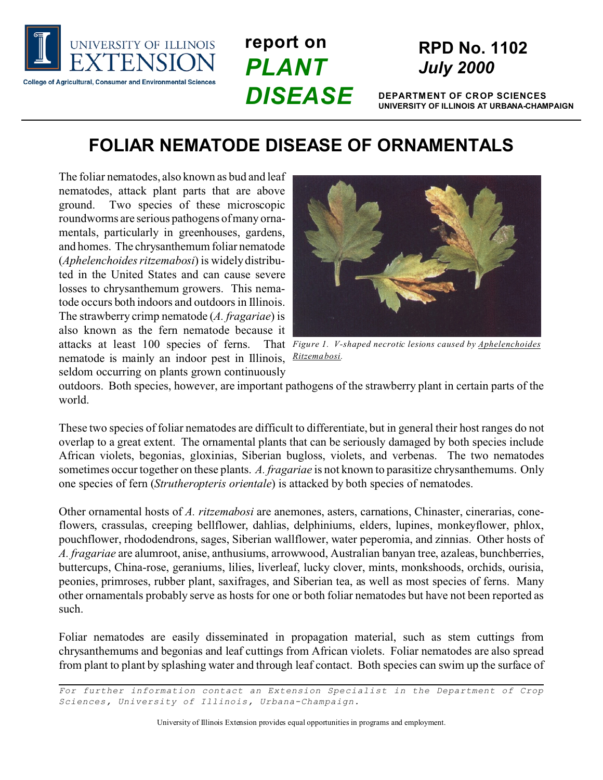

**report on** *PLANT DISEASE*

# **RPD No. 1102** *July 2000*

**DEPARTMENT OF CROP SCIENCES UNIVERSITY OF ILLINOIS AT URBANA-CHAMPAIGN**

## **FOLIAR NEMATODE DISEASE OF ORNAMENTALS**

The foliar nematodes, also known as bud and leaf nematodes, attack plant parts that are above ground. Two species of these microscopic roundworms are serious pathogens of many ornamentals, particularly in greenhouses, gardens, and homes. The chrysanthemum foliar nematode (*Aphelenchoides ritzemabosi*) is widely distributed in the United States and can cause severe losses to chrysanthemum growers. This nematode occurs both indoors and outdoors in Illinois. The strawberry crimp nematode (*A. fragariae*) is also known as the fern nematode because it attacks at least 100 species of ferns. nematode is mainly an indoor pest in Illinois, seldom occurring on plants grown continuously



*Figure 1. V-shaped necrotic lesions caused by Aphelenchoides Ritzemabosi.* 

outdoors. Both species, however, are important pathogens of the strawberry plant in certain parts of the world.

These two species of foliar nematodes are difficult to differentiate, but in general their host ranges do not overlap to a great extent. The ornamental plants that can be seriously damaged by both species include African violets, begonias, gloxinias, Siberian bugloss, violets, and verbenas. The two nematodes sometimes occur together on these plants. *A. fragariae* is not known to parasitize chrysanthemums. Only one species of fern (*Strutheropteris orientale*) is attacked by both species of nematodes.

Other ornamental hosts of *A. ritzemabosi* are anemones, asters, carnations, Chinaster, cinerarias, coneflowers, crassulas, creeping bellflower, dahlias, delphiniums, elders, lupines, monkeyflower, phlox, pouchflower, rhododendrons, sages, Siberian wallflower, water peperomia, and zinnias. Other hosts of *A. fragariae* are alumroot, anise, anthusiums, arrowwood, Australian banyan tree, azaleas, bunchberries, buttercups, China-rose, geraniums, lilies, liverleaf, lucky clover, mints, monkshoods, orchids, ourisia, peonies, primroses, rubber plant, saxifrages, and Siberian tea, as well as most species of ferns. Many other ornamentals probably serve as hosts for one or both foliar nematodes but have not been reported as such.

Foliar nematodes are easily disseminated in propagation material, such as stem cuttings from chrysanthemums and begonias and leaf cuttings from African violets. Foliar nematodes are also spread from plant to plant by splashing water and through leaf contact. Both species can swim up the surface of

*For further information contact an Extension Specialist in the Department of Crop Sciences, University of Illinois, Urbana-Champaign.*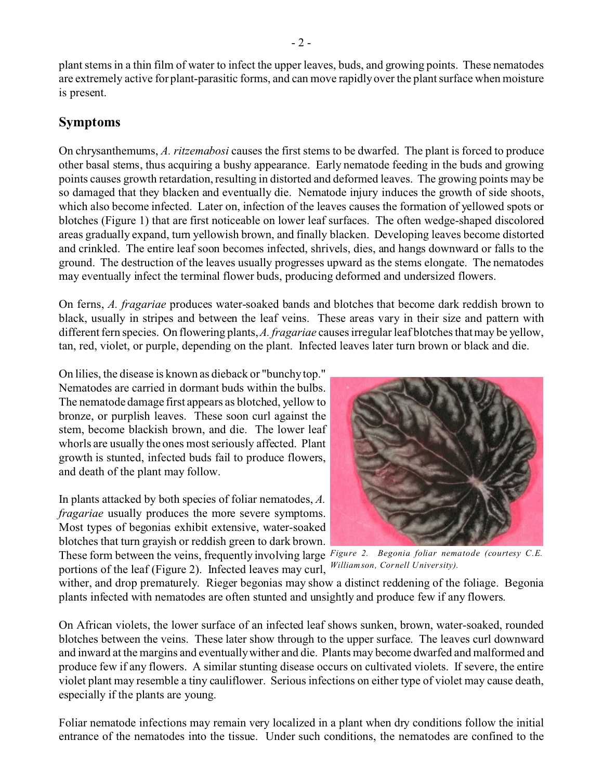plant stems in a thin film of water to infect the upper leaves, buds, and growing points. These nematodes are extremely active for plant-parasitic forms, and can move rapidly over the plant surface when moisture is present.

#### **Symptoms**

On chrysanthemums, *A. ritzemabosi* causes the first stems to be dwarfed. The plant is forced to produce other basal stems, thus acquiring a bushy appearance. Early nematode feeding in the buds and growing points causes growth retardation, resulting in distorted and deformed leaves. The growing points may be so damaged that they blacken and eventually die. Nematode injury induces the growth of side shoots, which also become infected. Later on, infection of the leaves causes the formation of yellowed spots or blotches (Figure 1) that are first noticeable on lower leaf surfaces. The often wedge-shaped discolored areas gradually expand, turn yellowish brown, and finally blacken. Developing leaves become distorted and crinkled. The entire leaf soon becomes infected, shrivels, dies, and hangs downward or falls to the ground. The destruction of the leaves usually progresses upward as the stems elongate. The nematodes may eventually infect the terminal flower buds, producing deformed and undersized flowers.

On ferns, *A. fragariae* produces water-soaked bands and blotches that become dark reddish brown to black, usually in stripes and between the leaf veins. These areas vary in their size and pattern with different fern species. On flowering plants, *A. fragariae* causes irregular leaf blotches that may be yellow, tan, red, violet, or purple, depending on the plant. Infected leaves later turn brown or black and die.

On lilies, the disease is known as dieback or "bunchy top." Nematodes are carried in dormant buds within the bulbs. The nematode damage first appears as blotched, yellow to bronze, or purplish leaves. These soon curl against the stem, become blackish brown, and die. The lower leaf whorls are usually the ones most seriously affected. Plant growth is stunted, infected buds fail to produce flowers, and death of the plant may follow.

In plants attacked by both species of foliar nematodes, *A. fragariae* usually produces the more severe symptoms. Most types of begonias exhibit extensive, water-soaked blotches that turn grayish or reddish green to dark brown.



These form between the veins, frequently involving large Figure 2. Begonia foliar nematode (courtesy C.E. *Williamson, Cornell University).* portions of the leaf (Figure 2). Infected leaves may curl,

wither, and drop prematurely. Rieger begonias may show a distinct reddening of the foliage. Begonia plants infected with nematodes are often stunted and unsightly and produce few if any flowers.

On African violets, the lower surface of an infected leaf shows sunken, brown, water-soaked, rounded blotches between the veins. These later show through to the upper surface. The leaves curl downward and inward at the margins and eventually wither and die. Plants may become dwarfed and malformed and produce few if any flowers. A similar stunting disease occurs on cultivated violets. If severe, the entire violet plant may resemble a tiny cauliflower. Serious infections on either type of violet may cause death, especially if the plants are young.

Foliar nematode infections may remain very localized in a plant when dry conditions follow the initial entrance of the nematodes into the tissue. Under such conditions, the nematodes are confined to the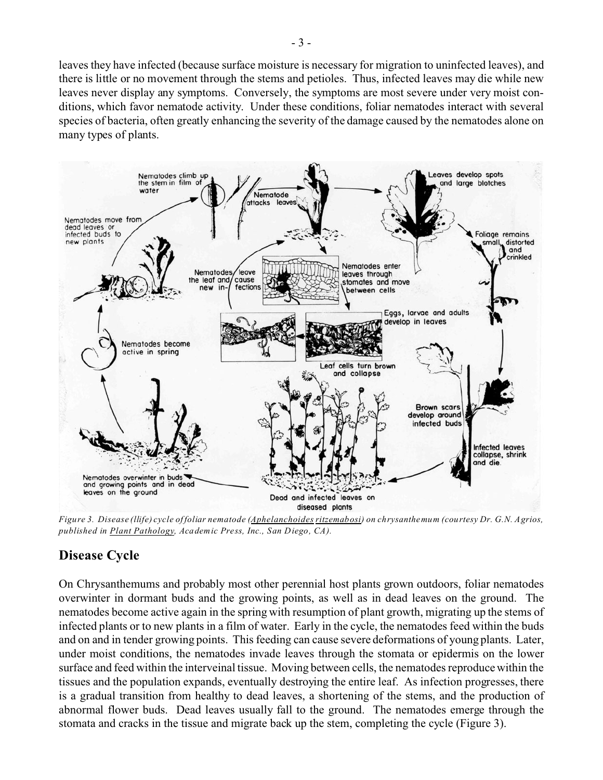leaves they have infected (because surface moisture is necessary for migration to uninfected leaves), and there is little or no movement through the stems and petioles. Thus, infected leaves may die while new leaves never display any symptoms. Conversely, the symptoms are most severe under very moist conditions, which favor nematode activity. Under these conditions, foliar nematodes interact with several species of bacteria, often greatly enhancing the severity of the damage caused by the nematodes alone on many types of plants.



*Figure 3. Disease (llife) cycle of foliar nematode (Aphelanchoides ritzemabosi) on chrysanthemum (courtesy Dr. G.N. Agrios, published in Plant Pathology, Academic Press, Inc., San Diego, CA).*

#### **Disease Cycle**

On Chrysanthemums and probably most other perennial host plants grown outdoors, foliar nematodes overwinter in dormant buds and the growing points, as well as in dead leaves on the ground. The nematodes become active again in the spring with resumption of plant growth, migrating up the stems of infected plants or to new plants in a film of water. Early in the cycle, the nematodes feed within the buds and on and in tender growing points. This feeding can cause severe deformations of young plants. Later, under moist conditions, the nematodes invade leaves through the stomata or epidermis on the lower surface and feed within the interveinal tissue. Moving between cells, the nematodes reproduce within the tissues and the population expands, eventually destroying the entire leaf. As infection progresses, there is a gradual transition from healthy to dead leaves, a shortening of the stems, and the production of abnormal flower buds. Dead leaves usually fall to the ground. The nematodes emerge through the stomata and cracks in the tissue and migrate back up the stem, completing the cycle (Figure 3).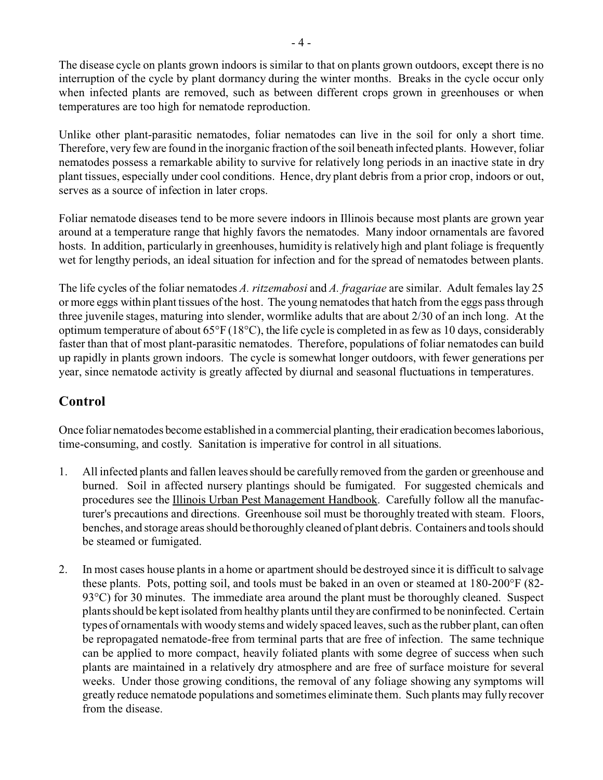The disease cycle on plants grown indoors is similar to that on plants grown outdoors, except there is no interruption of the cycle by plant dormancy during the winter months. Breaks in the cycle occur only when infected plants are removed, such as between different crops grown in greenhouses or when temperatures are too high for nematode reproduction.

Unlike other plant-parasitic nematodes, foliar nematodes can live in the soil for only a short time. Therefore, very few are found in the inorganic fraction of the soil beneath infected plants. However, foliar nematodes possess a remarkable ability to survive for relatively long periods in an inactive state in dry plant tissues, especially under cool conditions. Hence, dry plant debris from a prior crop, indoors or out, serves as a source of infection in later crops.

Foliar nematode diseases tend to be more severe indoors in Illinois because most plants are grown year around at a temperature range that highly favors the nematodes. Many indoor ornamentals are favored hosts. In addition, particularly in greenhouses, humidity is relatively high and plant foliage is frequently wet for lengthy periods, an ideal situation for infection and for the spread of nematodes between plants.

The life cycles of the foliar nematodes *A. ritzemabosi* and *A. fragariae* are similar. Adult females lay 25 or more eggs within plant tissues of the host. The young nematodes that hatch from the eggs pass through three juvenile stages, maturing into slender, wormlike adults that are about 2/30 of an inch long. At the optimum temperature of about 65°F (18°C), the life cycle is completed in as few as 10 days, considerably faster than that of most plant-parasitic nematodes. Therefore, populations of foliar nematodes can build up rapidly in plants grown indoors. The cycle is somewhat longer outdoors, with fewer generations per year, since nematode activity is greatly affected by diurnal and seasonal fluctuations in temperatures.

### **Control**

Once foliar nematodes become established in a commercial planting, their eradication becomes laborious, time-consuming, and costly. Sanitation is imperative for control in all situations.

- 1. All infected plants and fallen leaves should be carefully removed from the garden or greenhouse and burned. Soil in affected nursery plantings should be fumigated. For suggested chemicals and procedures see the Illinois Urban Pest Management Handbook. Carefully follow all the manufacturer's precautions and directions. Greenhouse soil must be thoroughly treated with steam. Floors, benches, and storage areas should be thoroughly cleaned of plant debris. Containers and tools should be steamed or fumigated.
- 2. In most cases house plants in a home or apartment should be destroyed since it is difficult to salvage these plants. Pots, potting soil, and tools must be baked in an oven or steamed at 180-200°F (82- 93<sup>o</sup>C) for 30 minutes. The immediate area around the plant must be thoroughly cleaned. Suspect plants should be kept isolated from healthy plants until they are confirmed to be noninfected. Certain types of ornamentals with woody stems and widely spaced leaves, such as the rubber plant, can often be repropagated nematode-free from terminal parts that are free of infection. The same technique can be applied to more compact, heavily foliated plants with some degree of success when such plants are maintained in a relatively dry atmosphere and are free of surface moisture for several weeks. Under those growing conditions, the removal of any foliage showing any symptoms will greatly reduce nematode populations and sometimes eliminate them. Such plants may fully recover from the disease.